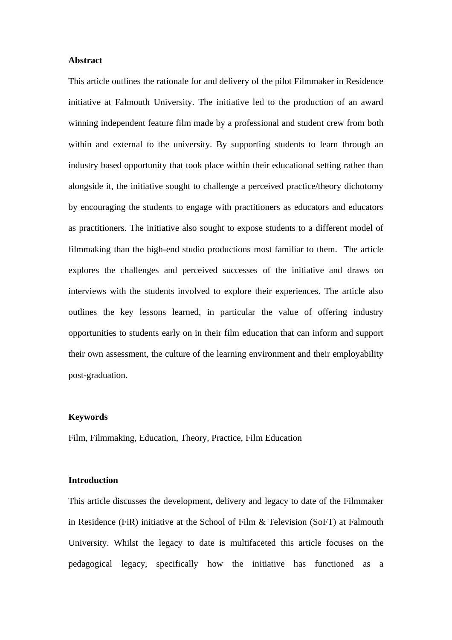## **Abstract**

This article outlines the rationale for and delivery of the pilot Filmmaker in Residence initiative at Falmouth University. The initiative led to the production of an award winning independent feature film made by a professional and student crew from both within and external to the university. By supporting students to learn through an industry based opportunity that took place within their educational setting rather than alongside it, the initiative sought to challenge a perceived practice/theory dichotomy by encouraging the students to engage with practitioners as educators and educators as practitioners. The initiative also sought to expose students to a different model of filmmaking than the high-end studio productions most familiar to them. The article explores the challenges and perceived successes of the initiative and draws on interviews with the students involved to explore their experiences. The article also outlines the key lessons learned, in particular the value of offering industry opportunities to students early on in their film education that can inform and support their own assessment, the culture of the learning environment and their employability post-graduation.

## **Keywords**

Film, Filmmaking, Education, Theory, Practice, Film Education

# **Introduction**

This article discusses the development, delivery and legacy to date of the Filmmaker in Residence (FiR) initiative at the School of Film & Television (SoFT) at Falmouth University. Whilst the legacy to date is multifaceted this article focuses on the pedagogical legacy, specifically how the initiative has functioned as a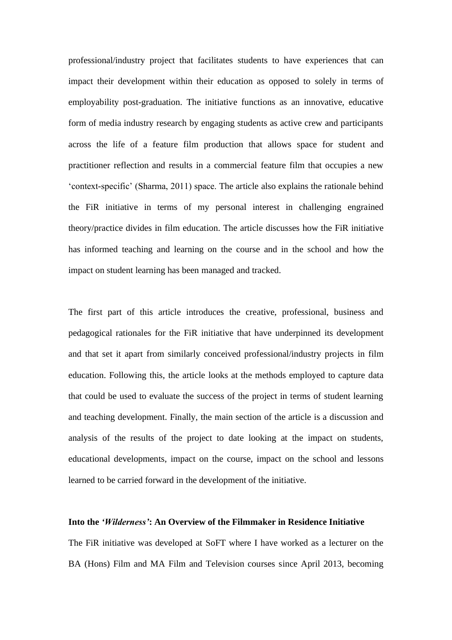professional/industry project that facilitates students to have experiences that can impact their development within their education as opposed to solely in terms of employability post-graduation. The initiative functions as an innovative, educative form of media industry research by engaging students as active crew and participants across the life of a feature film production that allows space for student and practitioner reflection and results in a commercial feature film that occupies a new 'context-specific' (Sharma, 2011) space. The article also explains the rationale behind the FiR initiative in terms of my personal interest in challenging engrained theory/practice divides in film education. The article discusses how the FiR initiative has informed teaching and learning on the course and in the school and how the impact on student learning has been managed and tracked.

The first part of this article introduces the creative, professional, business and pedagogical rationales for the FiR initiative that have underpinned its development and that set it apart from similarly conceived professional/industry projects in film education. Following this, the article looks at the methods employed to capture data that could be used to evaluate the success of the project in terms of student learning and teaching development. Finally, the main section of the article is a discussion and analysis of the results of the project to date looking at the impact on students, educational developments, impact on the course, impact on the school and lessons learned to be carried forward in the development of the initiative.

## **Into the** *'Wilderness'***: An Overview of the Filmmaker in Residence Initiative**

The FiR initiative was developed at SoFT where I have worked as a lecturer on the BA (Hons) Film and MA Film and Television courses since April 2013, becoming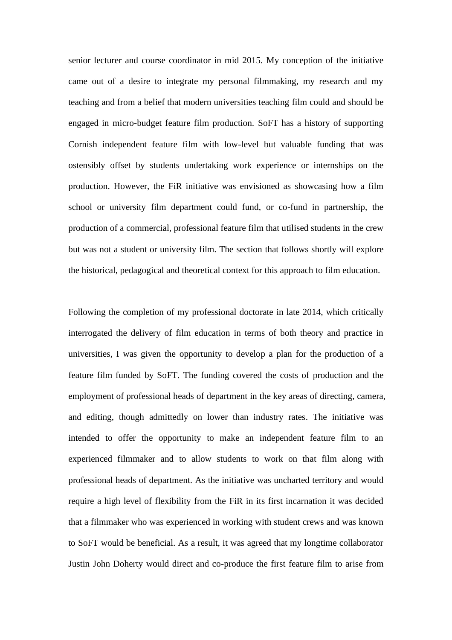senior lecturer and course coordinator in mid 2015. My conception of the initiative came out of a desire to integrate my personal filmmaking, my research and my teaching and from a belief that modern universities teaching film could and should be engaged in micro-budget feature film production. SoFT has a history of supporting Cornish independent feature film with low-level but valuable funding that was ostensibly offset by students undertaking work experience or internships on the production. However, the FiR initiative was envisioned as showcasing how a film school or university film department could fund, or co-fund in partnership, the production of a commercial, professional feature film that utilised students in the crew but was not a student or university film. The section that follows shortly will explore the historical, pedagogical and theoretical context for this approach to film education.

Following the completion of my professional doctorate in late 2014, which critically interrogated the delivery of film education in terms of both theory and practice in universities, I was given the opportunity to develop a plan for the production of a feature film funded by SoFT. The funding covered the costs of production and the employment of professional heads of department in the key areas of directing, camera, and editing, though admittedly on lower than industry rates. The initiative was intended to offer the opportunity to make an independent feature film to an experienced filmmaker and to allow students to work on that film along with professional heads of department. As the initiative was uncharted territory and would require a high level of flexibility from the FiR in its first incarnation it was decided that a filmmaker who was experienced in working with student crews and was known to SoFT would be beneficial. As a result, it was agreed that my longtime collaborator Justin John Doherty would direct and co-produce the first feature film to arise from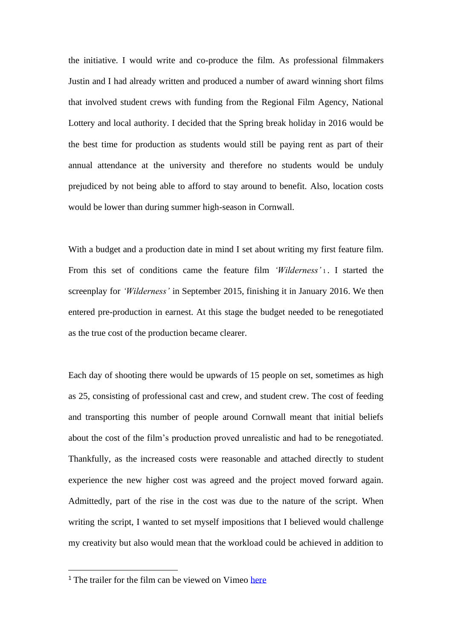the initiative. I would write and co-produce the film. As professional filmmakers Justin and I had already written and produced a number of award winning short films that involved student crews with funding from the Regional Film Agency, National Lottery and local authority. I decided that the Spring break holiday in 2016 would be the best time for production as students would still be paying rent as part of their annual attendance at the university and therefore no students would be unduly prejudiced by not being able to afford to stay around to benefit. Also, location costs would be lower than during summer high-season in Cornwall.

With a budget and a production date in mind I set about writing my first feature film. From this set of conditions came the feature film *'Wilderness'* <sup>1</sup> . I started the screenplay for *'Wilderness'* in September 2015, finishing it in January 2016. We then entered pre-production in earnest. At this stage the budget needed to be renegotiated as the true cost of the production became clearer.

Each day of shooting there would be upwards of 15 people on set, sometimes as high as 25, consisting of professional cast and crew, and student crew. The cost of feeding and transporting this number of people around Cornwall meant that initial beliefs about the cost of the film's production proved unrealistic and had to be renegotiated. Thankfully, as the increased costs were reasonable and attached directly to student experience the new higher cost was agreed and the project moved forward again. Admittedly, part of the rise in the cost was due to the nature of the script. When writing the script, I wanted to set myself impositions that I believed would challenge my creativity but also would mean that the workload could be achieved in addition to

<sup>&</sup>lt;sup>1</sup> The trailer for the film can be viewed on Vimeo [here](https://vimeo.com/185624908)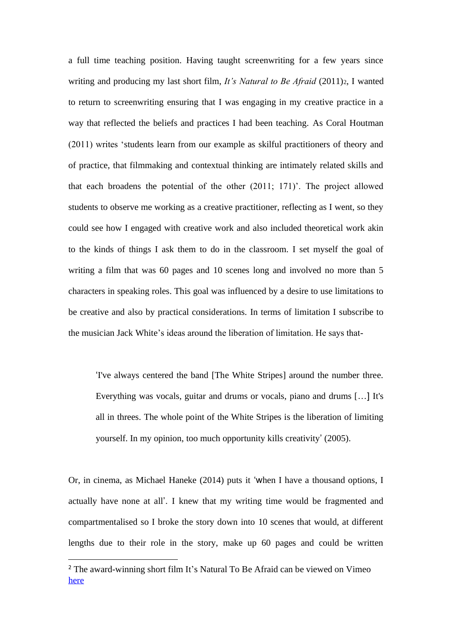a full time teaching position. Having taught screenwriting for a few years since writing and producing my last short film, *It's Natural to Be Afraid* (2011)<sub>2</sub>, I wanted to return to screenwriting ensuring that I was engaging in my creative practice in a way that reflected the beliefs and practices I had been teaching. As Coral Houtman (2011) writes 'students learn from our example as skilful practitioners of theory and of practice, that filmmaking and contextual thinking are intimately related skills and that each broadens the potential of the other (2011; 171)'. The project allowed students to observe me working as a creative practitioner, reflecting as I went, so they could see how I engaged with creative work and also included theoretical work akin to the kinds of things I ask them to do in the classroom. I set myself the goal of writing a film that was 60 pages and 10 scenes long and involved no more than 5 characters in speaking roles. This goal was influenced by a desire to use limitations to be creative and also by practical considerations. In terms of limitation I subscribe to the musician Jack White's ideas around the liberation of limitation. He says that-

'I've always centered the band [The White Stripes] around the number three. Everything was vocals, guitar and drums or vocals, piano and drums […] It's all in threes. The whole point of the White Stripes is the liberation of limiting yourself. In my opinion, too much opportunity kills creativity' (2005).

Or, in cinema, as Michael Haneke (2014) puts it 'when I have a thousand options, I actually have none at all'. I knew that my writing time would be fragmented and compartmentalised so I broke the story down into 10 scenes that would, at different lengths due to their role in the story, make up 60 pages and could be written

<sup>2</sup> The award-winning short film It's Natural To Be Afraid can be viewed on Vimeo [here](https://vimeo.com/20062075)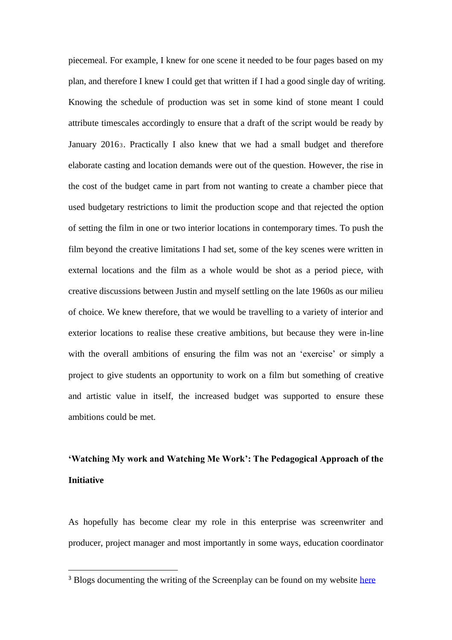piecemeal. For example, I knew for one scene it needed to be four pages based on my plan, and therefore I knew I could get that written if I had a good single day of writing. Knowing the schedule of production was set in some kind of stone meant I could attribute timescales accordingly to ensure that a draft of the script would be ready by January 20163. Practically I also knew that we had a small budget and therefore elaborate casting and location demands were out of the question. However, the rise in the cost of the budget came in part from not wanting to create a chamber piece that used budgetary restrictions to limit the production scope and that rejected the option of setting the film in one or two interior locations in contemporary times. To push the film beyond the creative limitations I had set, some of the key scenes were written in external locations and the film as a whole would be shot as a period piece, with creative discussions between Justin and myself settling on the late 1960s as our milieu of choice. We knew therefore, that we would be travelling to a variety of interior and exterior locations to realise these creative ambitions, but because they were in-line with the overall ambitions of ensuring the film was not an 'exercise' or simply a project to give students an opportunity to work on a film but something of creative and artistic value in itself, the increased budget was supported to ensure these ambitions could be met.

# **'Watching My work and Watching Me Work': The Pedagogical Approach of the Initiative**

As hopefully has become clear my role in this enterprise was screenwriter and producer, project manager and most importantly in some ways, education coordinator

<sup>&</sup>lt;sup>3</sup> Blogs documenting the writing of the Screenplay can be found on my website [here](http://drneilfox.com/screenwriting/)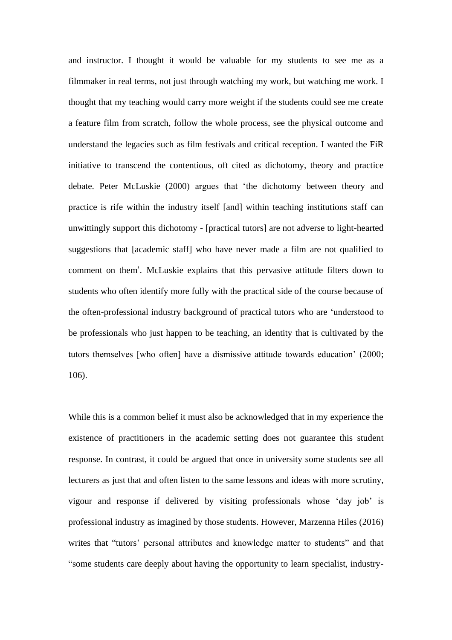and instructor. I thought it would be valuable for my students to see me as a filmmaker in real terms, not just through watching my work, but watching me work. I thought that my teaching would carry more weight if the students could see me create a feature film from scratch, follow the whole process, see the physical outcome and understand the legacies such as film festivals and critical reception. I wanted the FiR initiative to transcend the contentious, oft cited as dichotomy, theory and practice debate. Peter McLuskie (2000) argues that 'the dichotomy between theory and practice is rife within the industry itself [and] within teaching institutions staff can unwittingly support this dichotomy - [practical tutors] are not adverse to light-hearted suggestions that [academic staff] who have never made a film are not qualified to comment on them'. McLuskie explains that this pervasive attitude filters down to students who often identify more fully with the practical side of the course because of the often-professional industry background of practical tutors who are 'understood to be professionals who just happen to be teaching, an identity that is cultivated by the tutors themselves [who often] have a dismissive attitude towards education' (2000; 106).

While this is a common belief it must also be acknowledged that in my experience the existence of practitioners in the academic setting does not guarantee this student response. In contrast, it could be argued that once in university some students see all lecturers as just that and often listen to the same lessons and ideas with more scrutiny, vigour and response if delivered by visiting professionals whose 'day job' is professional industry as imagined by those students. However, Marzenna Hiles (2016) writes that "tutors' personal attributes and knowledge matter to students" and that "some students care deeply about having the opportunity to learn specialist, industry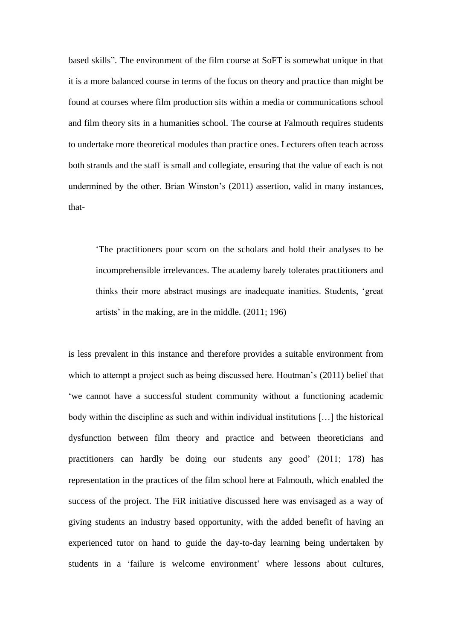based skills". The environment of the film course at SoFT is somewhat unique in that it is a more balanced course in terms of the focus on theory and practice than might be found at courses where film production sits within a media or communications school and film theory sits in a humanities school. The course at Falmouth requires students to undertake more theoretical modules than practice ones. Lecturers often teach across both strands and the staff is small and collegiate, ensuring that the value of each is not undermined by the other. Brian Winston's (2011) assertion, valid in many instances, that-

'The practitioners pour scorn on the scholars and hold their analyses to be incomprehensible irrelevances. The academy barely tolerates practitioners and thinks their more abstract musings are inadequate inanities. Students, 'great artists' in the making, are in the middle. (2011; 196)

is less prevalent in this instance and therefore provides a suitable environment from which to attempt a project such as being discussed here. Houtman's (2011) belief that 'we cannot have a successful student community without a functioning academic body within the discipline as such and within individual institutions […] the historical dysfunction between film theory and practice and between theoreticians and practitioners can hardly be doing our students any good' (2011; 178) has representation in the practices of the film school here at Falmouth, which enabled the success of the project. The FiR initiative discussed here was envisaged as a way of giving students an industry based opportunity, with the added benefit of having an experienced tutor on hand to guide the day-to-day learning being undertaken by students in a 'failure is welcome environment' where lessons about cultures,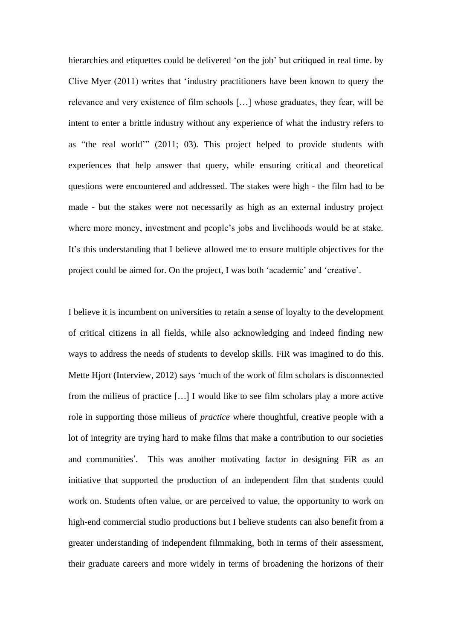hierarchies and etiquettes could be delivered 'on the job' but critiqued in real time. by Clive Myer (2011) writes that 'industry practitioners have been known to query the relevance and very existence of film schools […] whose graduates, they fear, will be intent to enter a brittle industry without any experience of what the industry refers to as "the real world'" (2011; 03). This project helped to provide students with experiences that help answer that query, while ensuring critical and theoretical questions were encountered and addressed. The stakes were high - the film had to be made - but the stakes were not necessarily as high as an external industry project where more money, investment and people's jobs and livelihoods would be at stake. It's this understanding that I believe allowed me to ensure multiple objectives for the project could be aimed for. On the project, I was both 'academic' and 'creative'.

I believe it is incumbent on universities to retain a sense of loyalty to the development of critical citizens in all fields, while also acknowledging and indeed finding new ways to address the needs of students to develop skills. FiR was imagined to do this. Mette Hjort (Interview, 2012) says 'much of the work of film scholars is disconnected from the milieus of practice […] I would like to see film scholars play a more active role in supporting those milieus of *practice* where thoughtful, creative people with a lot of integrity are trying hard to make films that make a contribution to our societies and communities'. This was another motivating factor in designing FiR as an initiative that supported the production of an independent film that students could work on. Students often value, or are perceived to value, the opportunity to work on high-end commercial studio productions but I believe students can also benefit from a greater understanding of independent filmmaking, both in terms of their assessment, their graduate careers and more widely in terms of broadening the horizons of their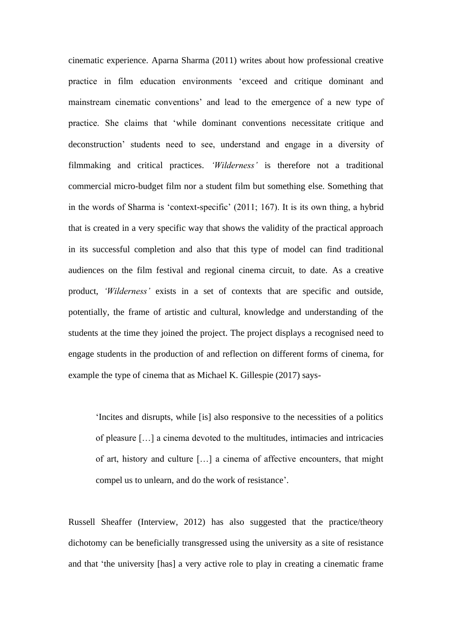cinematic experience. Aparna Sharma (2011) writes about how professional creative practice in film education environments 'exceed and critique dominant and mainstream cinematic conventions' and lead to the emergence of a new type of practice. She claims that 'while dominant conventions necessitate critique and deconstruction' students need to see, understand and engage in a diversity of filmmaking and critical practices. *'Wilderness'* is therefore not a traditional commercial micro-budget film nor a student film but something else. Something that in the words of Sharma is 'context-specific' (2011; 167). It is its own thing, a hybrid that is created in a very specific way that shows the validity of the practical approach in its successful completion and also that this type of model can find traditional audiences on the film festival and regional cinema circuit, to date. As a creative product, *'Wilderness'* exists in a set of contexts that are specific and outside, potentially, the frame of artistic and cultural, knowledge and understanding of the students at the time they joined the project. The project displays a recognised need to engage students in the production of and reflection on different forms of cinema, for example the type of cinema that as Michael K. Gillespie (2017) says-

'Incites and disrupts, while [is] also responsive to the necessities of a politics of pleasure […] a cinema devoted to the multitudes, intimacies and intricacies of art, history and culture […] a cinema of affective encounters, that might compel us to unlearn, and do the work of resistance'.

Russell Sheaffer (Interview, 2012) has also suggested that the practice/theory dichotomy can be beneficially transgressed using the university as a site of resistance and that 'the university [has] a very active role to play in creating a cinematic frame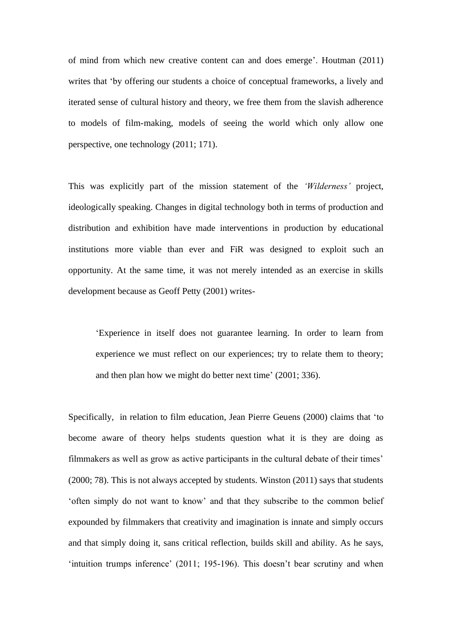of mind from which new creative content can and does emerge'. Houtman (2011) writes that 'by offering our students a choice of conceptual frameworks, a lively and iterated sense of cultural history and theory, we free them from the slavish adherence to models of film-making, models of seeing the world which only allow one perspective, one technology (2011; 171).

This was explicitly part of the mission statement of the *'Wilderness'* project, ideologically speaking. Changes in digital technology both in terms of production and distribution and exhibition have made interventions in production by educational institutions more viable than ever and FiR was designed to exploit such an opportunity. At the same time, it was not merely intended as an exercise in skills development because as Geoff Petty (2001) writes-

'Experience in itself does not guarantee learning. In order to learn from experience we must reflect on our experiences; try to relate them to theory; and then plan how we might do better next time' (2001; 336).

Specifically, in relation to film education, Jean Pierre Geuens (2000) claims that 'to become aware of theory helps students question what it is they are doing as filmmakers as well as grow as active participants in the cultural debate of their times' (2000; 78). This is not always accepted by students. Winston (2011) says that students 'often simply do not want to know' and that they subscribe to the common belief expounded by filmmakers that creativity and imagination is innate and simply occurs and that simply doing it, sans critical reflection, builds skill and ability. As he says, 'intuition trumps inference' (2011; 195-196). This doesn't bear scrutiny and when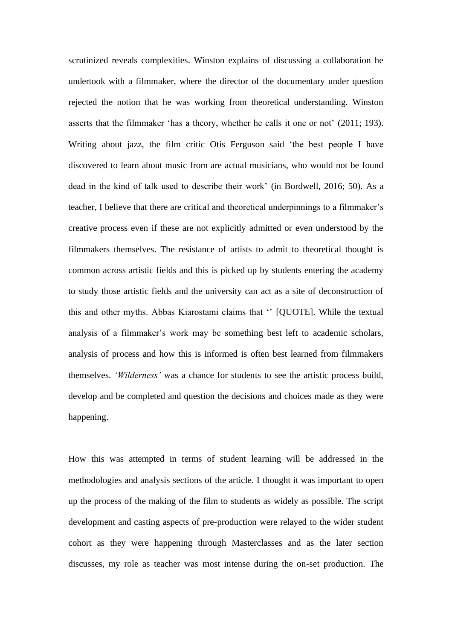scrutinized reveals complexities. Winston explains of discussing a collaboration he undertook with a filmmaker, where the director of the documentary under question rejected the notion that he was working from theoretical understanding. Winston asserts that the filmmaker 'has a theory, whether he calls it one or not' (2011; 193). Writing about jazz, the film critic Otis Ferguson said 'the best people I have discovered to learn about music from are actual musicians, who would not be found dead in the kind of talk used to describe their work' (in Bordwell, 2016; 50). As a teacher, I believe that there are critical and theoretical underpinnings to a filmmaker's creative process even if these are not explicitly admitted or even understood by the filmmakers themselves. The resistance of artists to admit to theoretical thought is common across artistic fields and this is picked up by students entering the academy to study those artistic fields and the university can act as a site of deconstruction of this and other myths. Abbas Kiarostami claims that '' [QUOTE]. While the textual analysis of a filmmaker's work may be something best left to academic scholars, analysis of process and how this is informed is often best learned from filmmakers themselves. *'Wilderness'* was a chance for students to see the artistic process build, develop and be completed and question the decisions and choices made as they were happening.

How this was attempted in terms of student learning will be addressed in the methodologies and analysis sections of the article. I thought it was important to open up the process of the making of the film to students as widely as possible. The script development and casting aspects of pre-production were relayed to the wider student cohort as they were happening through Masterclasses and as the later section discusses, my role as teacher was most intense during the on-set production. The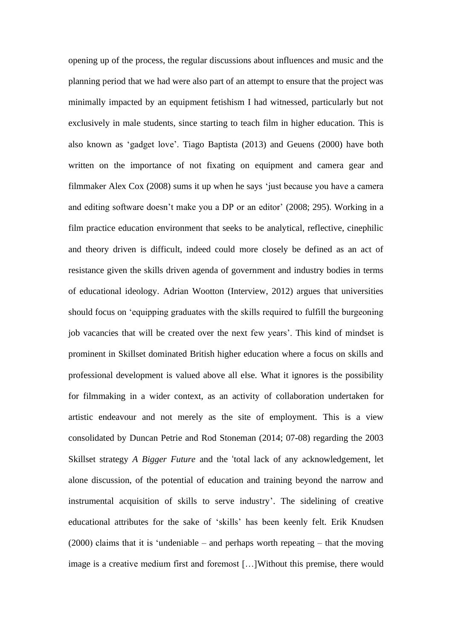opening up of the process, the regular discussions about influences and music and the planning period that we had were also part of an attempt to ensure that the project was minimally impacted by an equipment fetishism I had witnessed, particularly but not exclusively in male students, since starting to teach film in higher education. This is also known as 'gadget love'. Tiago Baptista (2013) and Geuens (2000) have both written on the importance of not fixating on equipment and camera gear and filmmaker Alex Cox (2008) sums it up when he says 'just because you have a camera and editing software doesn't make you a DP or an editor' (2008; 295). Working in a film practice education environment that seeks to be analytical, reflective, cinephilic and theory driven is difficult, indeed could more closely be defined as an act of resistance given the skills driven agenda of government and industry bodies in terms of educational ideology. Adrian Wootton (Interview, 2012) argues that universities should focus on 'equipping graduates with the skills required to fulfill the burgeoning job vacancies that will be created over the next few years'. This kind of mindset is prominent in Skillset dominated British higher education where a focus on skills and professional development is valued above all else. What it ignores is the possibility for filmmaking in a wider context, as an activity of collaboration undertaken for artistic endeavour and not merely as the site of employment. This is a view consolidated by Duncan Petrie and Rod Stoneman (2014; 07-08) regarding the 2003 Skillset strategy *A Bigger Future* and the 'total lack of any acknowledgement, let alone discussion, of the potential of education and training beyond the narrow and instrumental acquisition of skills to serve industry'. The sidelining of creative educational attributes for the sake of 'skills' has been keenly felt. Erik Knudsen (2000) claims that it is 'undeniable – and perhaps worth repeating – that the moving image is a creative medium first and foremost […]Without this premise, there would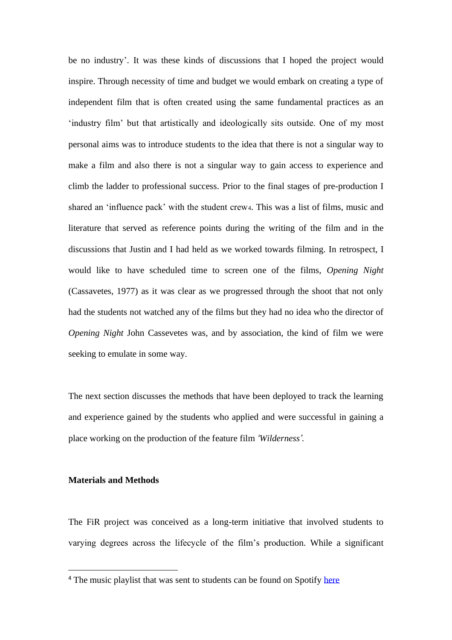be no industry'. It was these kinds of discussions that I hoped the project would inspire. Through necessity of time and budget we would embark on creating a type of independent film that is often created using the same fundamental practices as an 'industry film' but that artistically and ideologically sits outside. One of my most personal aims was to introduce students to the idea that there is not a singular way to make a film and also there is not a singular way to gain access to experience and climb the ladder to professional success. Prior to the final stages of pre-production I shared an 'influence pack' with the student crew4. This was a list of films, music and literature that served as reference points during the writing of the film and in the discussions that Justin and I had held as we worked towards filming. In retrospect, I would like to have scheduled time to screen one of the films, *Opening Night*  (Cassavetes, 1977) as it was clear as we progressed through the shoot that not only had the students not watched any of the films but they had no idea who the director of *Opening Night* John Cassevetes was, and by association, the kind of film we were seeking to emulate in some way.

The next section discusses the methods that have been deployed to track the learning and experience gained by the students who applied and were successful in gaining a place working on the production of the feature film *'Wilderness'*.

## **Materials and Methods**

The FiR project was conceived as a long-term initiative that involved students to varying degrees across the lifecycle of the film's production. While a significant

<sup>&</sup>lt;sup>4</sup> The music playlist that was sent to students can be found on Spotify [here](https://open.spotify.com/user/drgonzolives/playlist/3fQWIYEsxfivrBIM9VoJBl)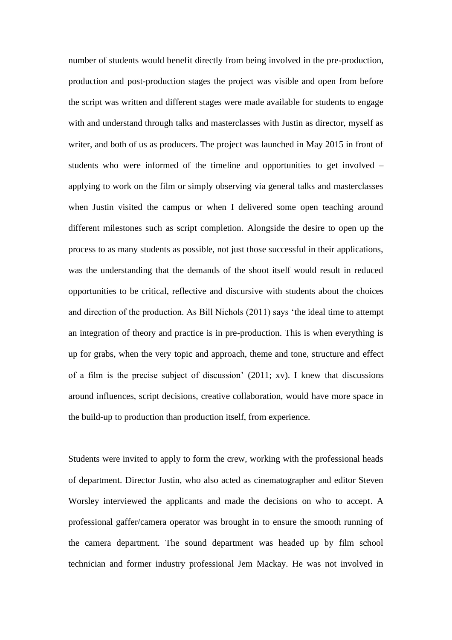number of students would benefit directly from being involved in the pre-production, production and post-production stages the project was visible and open from before the script was written and different stages were made available for students to engage with and understand through talks and masterclasses with Justin as director, myself as writer, and both of us as producers. The project was launched in May 2015 in front of students who were informed of the timeline and opportunities to get involved – applying to work on the film or simply observing via general talks and masterclasses when Justin visited the campus or when I delivered some open teaching around different milestones such as script completion. Alongside the desire to open up the process to as many students as possible, not just those successful in their applications, was the understanding that the demands of the shoot itself would result in reduced opportunities to be critical, reflective and discursive with students about the choices and direction of the production. As Bill Nichols (2011) says 'the ideal time to attempt an integration of theory and practice is in pre-production. This is when everything is up for grabs, when the very topic and approach, theme and tone, structure and effect of a film is the precise subject of discussion' (2011; xv). I knew that discussions around influences, script decisions, creative collaboration, would have more space in the build-up to production than production itself, from experience.

Students were invited to apply to form the crew, working with the professional heads of department. Director Justin, who also acted as cinematographer and editor Steven Worsley interviewed the applicants and made the decisions on who to accept. A professional gaffer/camera operator was brought in to ensure the smooth running of the camera department. The sound department was headed up by film school technician and former industry professional Jem Mackay. He was not involved in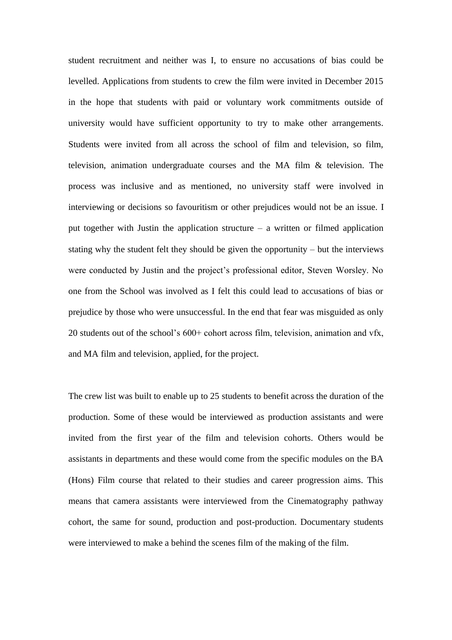student recruitment and neither was I, to ensure no accusations of bias could be levelled. Applications from students to crew the film were invited in December 2015 in the hope that students with paid or voluntary work commitments outside of university would have sufficient opportunity to try to make other arrangements. Students were invited from all across the school of film and television, so film, television, animation undergraduate courses and the MA film & television. The process was inclusive and as mentioned, no university staff were involved in interviewing or decisions so favouritism or other prejudices would not be an issue. I put together with Justin the application structure – a written or filmed application stating why the student felt they should be given the opportunity – but the interviews were conducted by Justin and the project's professional editor, Steven Worsley. No one from the School was involved as I felt this could lead to accusations of bias or prejudice by those who were unsuccessful. In the end that fear was misguided as only 20 students out of the school's 600+ cohort across film, television, animation and vfx, and MA film and television, applied, for the project.

The crew list was built to enable up to 25 students to benefit across the duration of the production. Some of these would be interviewed as production assistants and were invited from the first year of the film and television cohorts. Others would be assistants in departments and these would come from the specific modules on the BA (Hons) Film course that related to their studies and career progression aims. This means that camera assistants were interviewed from the Cinematography pathway cohort, the same for sound, production and post-production. Documentary students were interviewed to make a behind the scenes film of the making of the film.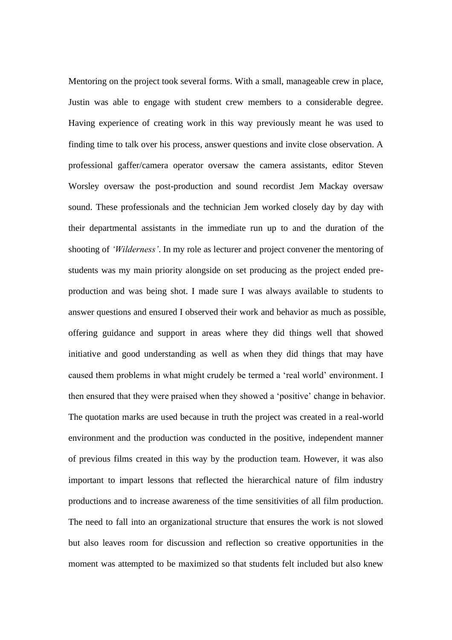Mentoring on the project took several forms. With a small, manageable crew in place, Justin was able to engage with student crew members to a considerable degree. Having experience of creating work in this way previously meant he was used to finding time to talk over his process, answer questions and invite close observation. A professional gaffer/camera operator oversaw the camera assistants, editor Steven Worsley oversaw the post-production and sound recordist Jem Mackay oversaw sound. These professionals and the technician Jem worked closely day by day with their departmental assistants in the immediate run up to and the duration of the shooting of *'Wilderness'*. In my role as lecturer and project convener the mentoring of students was my main priority alongside on set producing as the project ended preproduction and was being shot. I made sure I was always available to students to answer questions and ensured I observed their work and behavior as much as possible, offering guidance and support in areas where they did things well that showed initiative and good understanding as well as when they did things that may have caused them problems in what might crudely be termed a 'real world' environment. I then ensured that they were praised when they showed a 'positive' change in behavior. The quotation marks are used because in truth the project was created in a real-world environment and the production was conducted in the positive, independent manner of previous films created in this way by the production team. However, it was also important to impart lessons that reflected the hierarchical nature of film industry productions and to increase awareness of the time sensitivities of all film production. The need to fall into an organizational structure that ensures the work is not slowed but also leaves room for discussion and reflection so creative opportunities in the moment was attempted to be maximized so that students felt included but also knew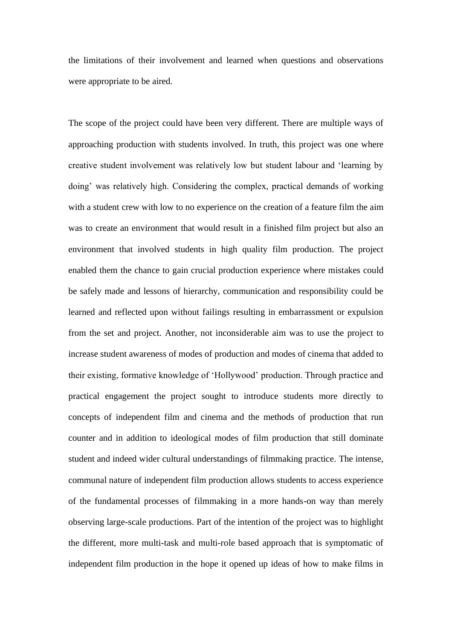the limitations of their involvement and learned when questions and observations were appropriate to be aired.

The scope of the project could have been very different. There are multiple ways of approaching production with students involved. In truth, this project was one where creative student involvement was relatively low but student labour and 'learning by doing' was relatively high. Considering the complex, practical demands of working with a student crew with low to no experience on the creation of a feature film the aim was to create an environment that would result in a finished film project but also an environment that involved students in high quality film production. The project enabled them the chance to gain crucial production experience where mistakes could be safely made and lessons of hierarchy, communication and responsibility could be learned and reflected upon without failings resulting in embarrassment or expulsion from the set and project. Another, not inconsiderable aim was to use the project to increase student awareness of modes of production and modes of cinema that added to their existing, formative knowledge of 'Hollywood' production. Through practice and practical engagement the project sought to introduce students more directly to concepts of independent film and cinema and the methods of production that run counter and in addition to ideological modes of film production that still dominate student and indeed wider cultural understandings of filmmaking practice. The intense, communal nature of independent film production allows students to access experience of the fundamental processes of filmmaking in a more hands-on way than merely observing large-scale productions. Part of the intention of the project was to highlight the different, more multi-task and multi-role based approach that is symptomatic of independent film production in the hope it opened up ideas of how to make films in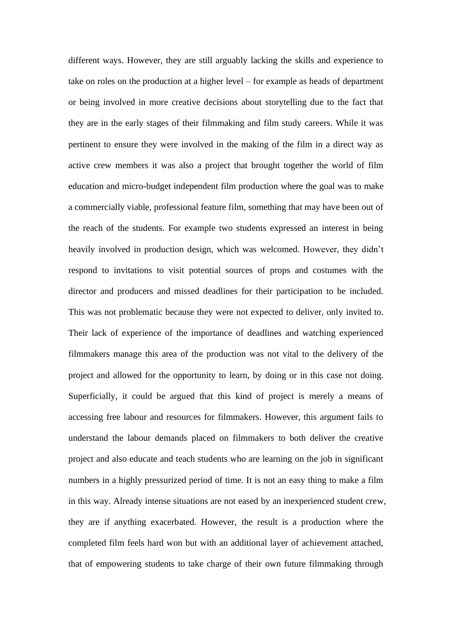different ways. However, they are still arguably lacking the skills and experience to take on roles on the production at a higher level – for example as heads of department or being involved in more creative decisions about storytelling due to the fact that they are in the early stages of their filmmaking and film study careers. While it was pertinent to ensure they were involved in the making of the film in a direct way as active crew members it was also a project that brought together the world of film education and micro-budget independent film production where the goal was to make a commercially viable, professional feature film, something that may have been out of the reach of the students. For example two students expressed an interest in being heavily involved in production design, which was welcomed. However, they didn't respond to invitations to visit potential sources of props and costumes with the director and producers and missed deadlines for their participation to be included. This was not problematic because they were not expected to deliver, only invited to. Their lack of experience of the importance of deadlines and watching experienced filmmakers manage this area of the production was not vital to the delivery of the project and allowed for the opportunity to learn, by doing or in this case not doing. Superficially, it could be argued that this kind of project is merely a means of accessing free labour and resources for filmmakers. However, this argument fails to understand the labour demands placed on filmmakers to both deliver the creative project and also educate and teach students who are learning on the job in significant numbers in a highly pressurized period of time. It is not an easy thing to make a film in this way. Already intense situations are not eased by an inexperienced student crew, they are if anything exacerbated. However, the result is a production where the completed film feels hard won but with an additional layer of achievement attached, that of empowering students to take charge of their own future filmmaking through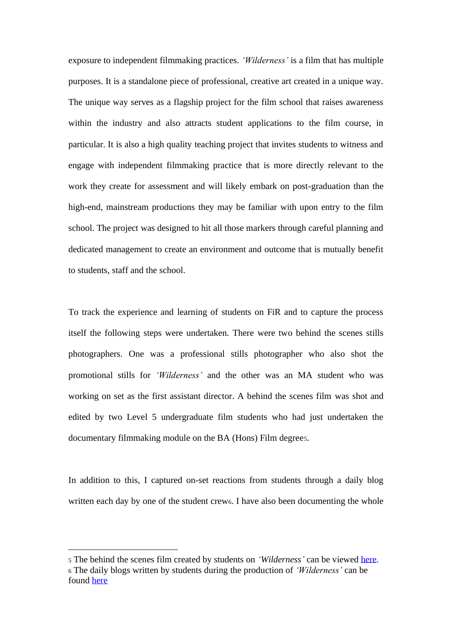exposure to independent filmmaking practices. *'Wilderness'* is a film that has multiple purposes. It is a standalone piece of professional, creative art created in a unique way. The unique way serves as a flagship project for the film school that raises awareness within the industry and also attracts student applications to the film course, in particular. It is also a high quality teaching project that invites students to witness and engage with independent filmmaking practice that is more directly relevant to the work they create for assessment and will likely embark on post-graduation than the high-end, mainstream productions they may be familiar with upon entry to the film school. The project was designed to hit all those markers through careful planning and dedicated management to create an environment and outcome that is mutually benefit to students, staff and the school.

To track the experience and learning of students on FiR and to capture the process itself the following steps were undertaken. There were two behind the scenes stills photographers. One was a professional stills photographer who also shot the promotional stills for *'Wilderness'* and the other was an MA student who was working on set as the first assistant director. A behind the scenes film was shot and edited by two Level 5 undergraduate film students who had just undertaken the documentary filmmaking module on the BA (Hons) Film degree5.

In addition to this, I captured on-set reactions from students through a daily blog written each day by one of the student crew<sub>6</sub>. I have also been documenting the whole

<sup>5</sup> The behind the scenes film created by students on *'Wilderness'* can be viewed [here.](https://vimeo.com/201274100) <sup>6</sup> The daily blogs written by students during the production of *'Wilderness'* can be found [here](http://wildernessfilmproject.tumblr.com/)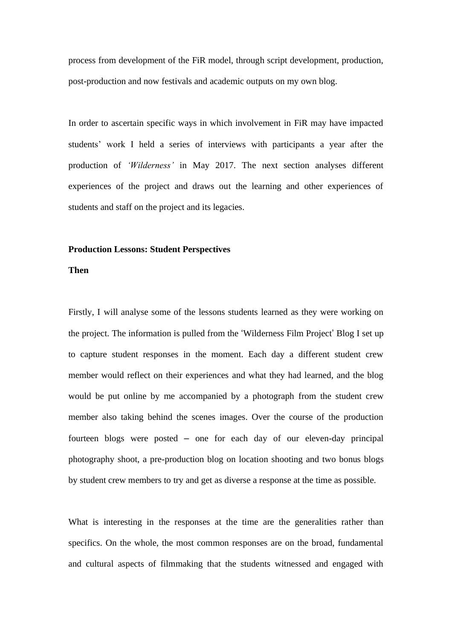process from development of the FiR model, through script development, production, post-production and now festivals and academic outputs on my own blog.

In order to ascertain specific ways in which involvement in FiR may have impacted students' work I held a series of interviews with participants a year after the production of *'Wilderness'* in May 2017. The next section analyses different experiences of the project and draws out the learning and other experiences of students and staff on the project and its legacies.

### **Production Lessons: Student Perspectives**

# **Then**

Firstly, I will analyse some of the lessons students learned as they were working on the project. The information is pulled from the 'Wilderness Film Project' Blog I set up to capture student responses in the moment. Each day a different student crew member would reflect on their experiences and what they had learned, and the blog would be put online by me accompanied by a photograph from the student crew member also taking behind the scenes images. Over the course of the production fourteen blogs were posted – one for each day of our eleven-day principal photography shoot, a pre-production blog on location shooting and two bonus blogs by student crew members to try and get as diverse a response at the time as possible.

What is interesting in the responses at the time are the generalities rather than specifics. On the whole, the most common responses are on the broad, fundamental and cultural aspects of filmmaking that the students witnessed and engaged with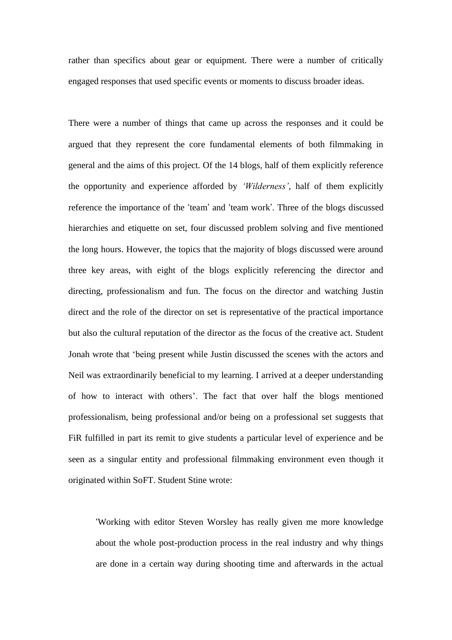rather than specifics about gear or equipment. There were a number of critically engaged responses that used specific events or moments to discuss broader ideas.

There were a number of things that came up across the responses and it could be argued that they represent the core fundamental elements of both filmmaking in general and the aims of this project. Of the 14 blogs, half of them explicitly reference the opportunity and experience afforded by *'Wilderness'*, half of them explicitly reference the importance of the 'team' and 'team work'. Three of the blogs discussed hierarchies and etiquette on set, four discussed problem solving and five mentioned the long hours. However, the topics that the majority of blogs discussed were around three key areas, with eight of the blogs explicitly referencing the director and directing, professionalism and fun. The focus on the director and watching Justin direct and the role of the director on set is representative of the practical importance but also the cultural reputation of the director as the focus of the creative act. Student Jonah wrote that 'being present while Justin discussed the scenes with the actors and Neil was extraordinarily beneficial to my learning. I arrived at a deeper understanding of how to interact with others'. The fact that over half the blogs mentioned professionalism, being professional and/or being on a professional set suggests that FiR fulfilled in part its remit to give students a particular level of experience and be seen as a singular entity and professional filmmaking environment even though it originated within SoFT. Student Stine wrote:

'Working with editor Steven Worsley has really given me more knowledge about the whole post-production process in the real industry and why things are done in a certain way during shooting time and afterwards in the actual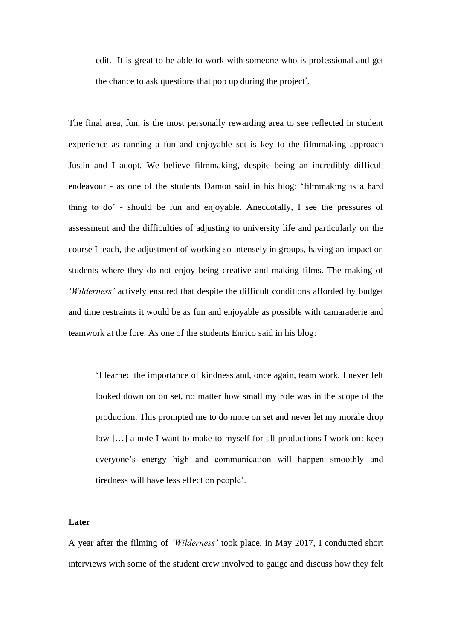edit. It is great to be able to work with someone who is professional and get the chance to ask questions that pop up during the project'.

The final area, fun, is the most personally rewarding area to see reflected in student experience as running a fun and enjoyable set is key to the filmmaking approach Justin and I adopt. We believe filmmaking, despite being an incredibly difficult endeavour - as one of the students Damon said in his blog: 'filmmaking is a hard thing to do' - should be fun and enjoyable. Anecdotally, I see the pressures of assessment and the difficulties of adjusting to university life and particularly on the course I teach, the adjustment of working so intensely in groups, having an impact on students where they do not enjoy being creative and making films. The making of *'Wilderness'* actively ensured that despite the difficult conditions afforded by budget and time restraints it would be as fun and enjoyable as possible with camaraderie and teamwork at the fore. As one of the students Enrico said in his blog:

'I learned the importance of kindness and, once again, team work. I never felt looked down on on set, no matter how small my role was in the scope of the production. This prompted me to do more on set and never let my morale drop low […] a note I want to make to myself for all productions I work on: keep everyone's energy high and communication will happen smoothly and tiredness will have less effect on people'.

## **Later**

A year after the filming of *'Wilderness'* took place, in May 2017, I conducted short interviews with some of the student crew involved to gauge and discuss how they felt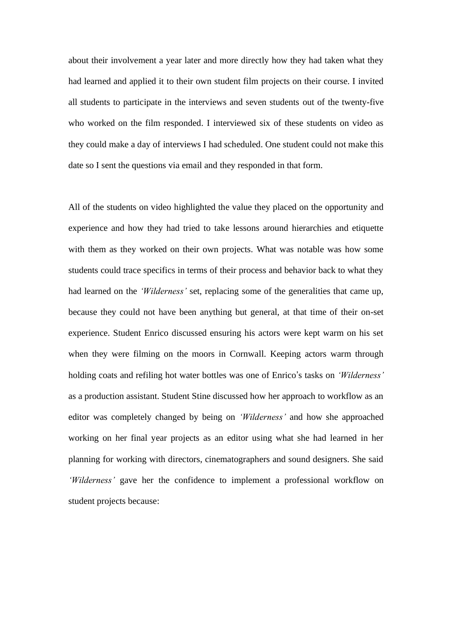about their involvement a year later and more directly how they had taken what they had learned and applied it to their own student film projects on their course. I invited all students to participate in the interviews and seven students out of the twenty-five who worked on the film responded. I interviewed six of these students on video as they could make a day of interviews I had scheduled. One student could not make this date so I sent the questions via email and they responded in that form.

All of the students on video highlighted the value they placed on the opportunity and experience and how they had tried to take lessons around hierarchies and etiquette with them as they worked on their own projects. What was notable was how some students could trace specifics in terms of their process and behavior back to what they had learned on the *'Wilderness'* set, replacing some of the generalities that came up, because they could not have been anything but general, at that time of their on-set experience. Student Enrico discussed ensuring his actors were kept warm on his set when they were filming on the moors in Cornwall. Keeping actors warm through holding coats and refiling hot water bottles was one of Enrico's tasks on *'Wilderness'* as a production assistant. Student Stine discussed how her approach to workflow as an editor was completely changed by being on *'Wilderness'* and how she approached working on her final year projects as an editor using what she had learned in her planning for working with directors, cinematographers and sound designers. She said *'Wilderness'* gave her the confidence to implement a professional workflow on student projects because: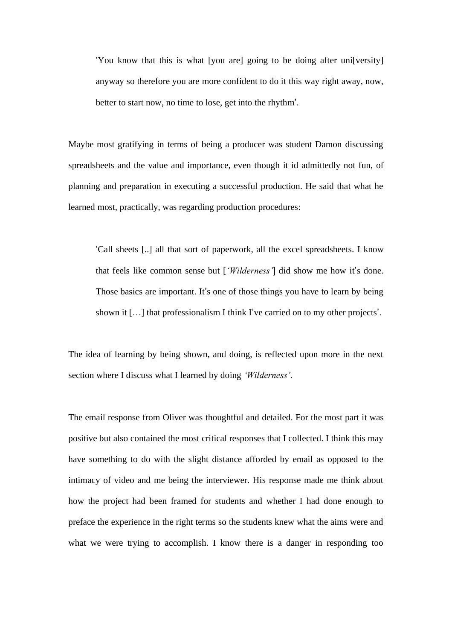'You know that this is what [you are] going to be doing after uni[versity] anyway so therefore you are more confident to do it this way right away, now, better to start now, no time to lose, get into the rhythm'.

Maybe most gratifying in terms of being a producer was student Damon discussing spreadsheets and the value and importance, even though it id admittedly not fun, of planning and preparation in executing a successful production. He said that what he learned most, practically, was regarding production procedures:

'Call sheets [..] all that sort of paperwork, all the excel spreadsheets. I know that feels like common sense but [*'Wilderness'*] did show me how it's done. Those basics are important. It's one of those things you have to learn by being shown it […] that professionalism I think I've carried on to my other projects'.

The idea of learning by being shown, and doing, is reflected upon more in the next section where I discuss what I learned by doing *'Wilderness'.*

The email response from Oliver was thoughtful and detailed. For the most part it was positive but also contained the most critical responses that I collected. I think this may have something to do with the slight distance afforded by email as opposed to the intimacy of video and me being the interviewer. His response made me think about how the project had been framed for students and whether I had done enough to preface the experience in the right terms so the students knew what the aims were and what we were trying to accomplish. I know there is a danger in responding too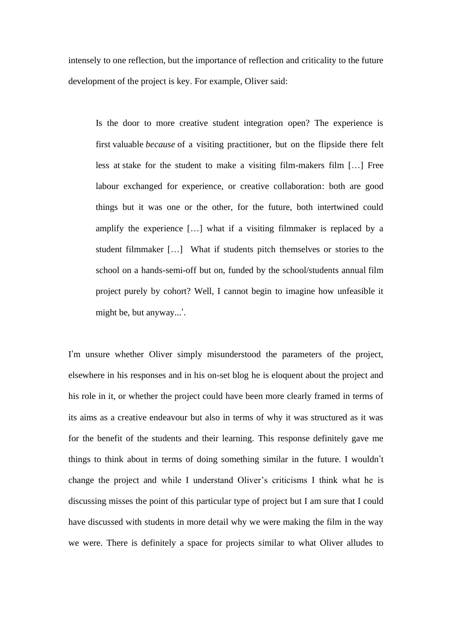intensely to one reflection, but the importance of reflection and criticality to the future development of the project is key. For example, Oliver said:

Is the door to more creative student integration open? The experience is first valuable *because* of a visiting practitioner, but on the flipside there felt less at stake for the student to make a visiting film-makers film […] Free labour exchanged for experience, or creative collaboration: both are good things but it was one or the other, for the future, both intertwined could amplify the experience […] what if a visiting filmmaker is replaced by a student filmmaker […] What if students pitch themselves or stories to the school on a hands-semi-off but on, funded by the school/students annual film project purely by cohort? Well, I cannot begin to imagine how unfeasible it might be, but anyway...'.

I'm unsure whether Oliver simply misunderstood the parameters of the project, elsewhere in his responses and in his on-set blog he is eloquent about the project and his role in it, or whether the project could have been more clearly framed in terms of its aims as a creative endeavour but also in terms of why it was structured as it was for the benefit of the students and their learning. This response definitely gave me things to think about in terms of doing something similar in the future. I wouldn't change the project and while I understand Oliver's criticisms I think what he is discussing misses the point of this particular type of project but I am sure that I could have discussed with students in more detail why we were making the film in the way we were. There is definitely a space for projects similar to what Oliver alludes to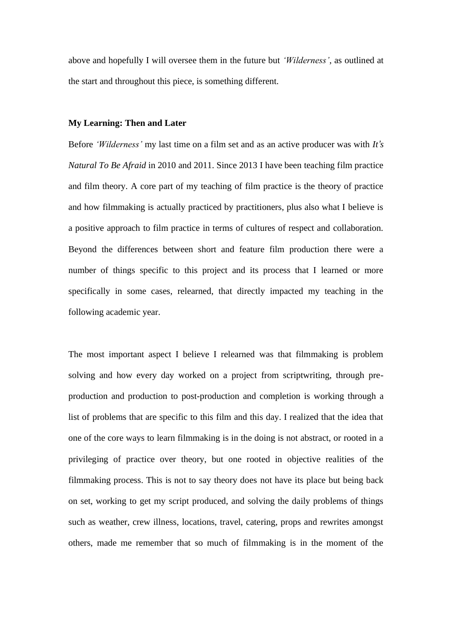above and hopefully I will oversee them in the future but *'Wilderness'*, as outlined at the start and throughout this piece, is something different.

## **My Learning: Then and Later**

Before *'Wilderness'* my last time on a film set and as an active producer was with *It's Natural To Be Afraid* in 2010 and 2011. Since 2013 I have been teaching film practice and film theory. A core part of my teaching of film practice is the theory of practice and how filmmaking is actually practiced by practitioners, plus also what I believe is a positive approach to film practice in terms of cultures of respect and collaboration. Beyond the differences between short and feature film production there were a number of things specific to this project and its process that I learned or more specifically in some cases, relearned, that directly impacted my teaching in the following academic year.

The most important aspect I believe I relearned was that filmmaking is problem solving and how every day worked on a project from scriptwriting, through preproduction and production to post-production and completion is working through a list of problems that are specific to this film and this day. I realized that the idea that one of the core ways to learn filmmaking is in the doing is not abstract, or rooted in a privileging of practice over theory, but one rooted in objective realities of the filmmaking process. This is not to say theory does not have its place but being back on set, working to get my script produced, and solving the daily problems of things such as weather, crew illness, locations, travel, catering, props and rewrites amongst others, made me remember that so much of filmmaking is in the moment of the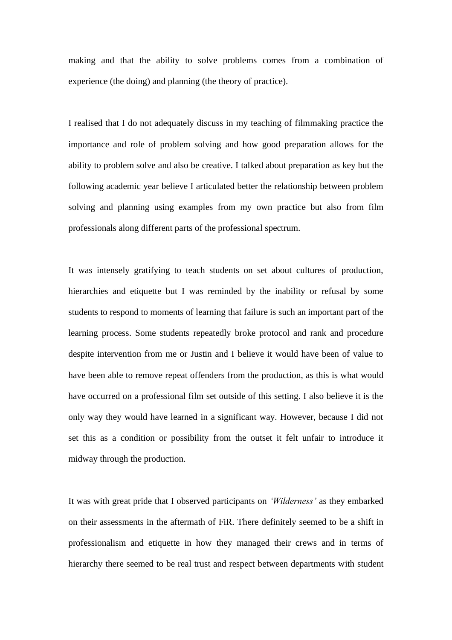making and that the ability to solve problems comes from a combination of experience (the doing) and planning (the theory of practice).

I realised that I do not adequately discuss in my teaching of filmmaking practice the importance and role of problem solving and how good preparation allows for the ability to problem solve and also be creative. I talked about preparation as key but the following academic year believe I articulated better the relationship between problem solving and planning using examples from my own practice but also from film professionals along different parts of the professional spectrum.

It was intensely gratifying to teach students on set about cultures of production, hierarchies and etiquette but I was reminded by the inability or refusal by some students to respond to moments of learning that failure is such an important part of the learning process. Some students repeatedly broke protocol and rank and procedure despite intervention from me or Justin and I believe it would have been of value to have been able to remove repeat offenders from the production, as this is what would have occurred on a professional film set outside of this setting. I also believe it is the only way they would have learned in a significant way. However, because I did not set this as a condition or possibility from the outset it felt unfair to introduce it midway through the production.

It was with great pride that I observed participants on *'Wilderness'* as they embarked on their assessments in the aftermath of FiR. There definitely seemed to be a shift in professionalism and etiquette in how they managed their crews and in terms of hierarchy there seemed to be real trust and respect between departments with student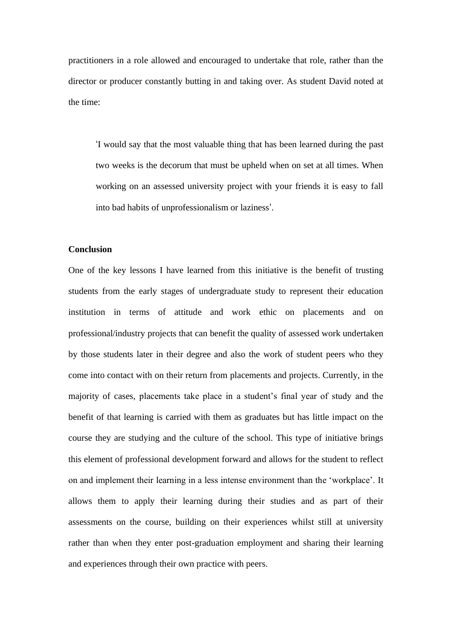practitioners in a role allowed and encouraged to undertake that role, rather than the director or producer constantly butting in and taking over. As student David noted at the time:

'I would say that the most valuable thing that has been learned during the past two weeks is the decorum that must be upheld when on set at all times. When working on an assessed university project with your friends it is easy to fall into bad habits of unprofessionalism or laziness'.

# **Conclusion**

One of the key lessons I have learned from this initiative is the benefit of trusting students from the early stages of undergraduate study to represent their education institution in terms of attitude and work ethic on placements and on professional/industry projects that can benefit the quality of assessed work undertaken by those students later in their degree and also the work of student peers who they come into contact with on their return from placements and projects. Currently, in the majority of cases, placements take place in a student's final year of study and the benefit of that learning is carried with them as graduates but has little impact on the course they are studying and the culture of the school. This type of initiative brings this element of professional development forward and allows for the student to reflect on and implement their learning in a less intense environment than the 'workplace'. It allows them to apply their learning during their studies and as part of their assessments on the course, building on their experiences whilst still at university rather than when they enter post-graduation employment and sharing their learning and experiences through their own practice with peers.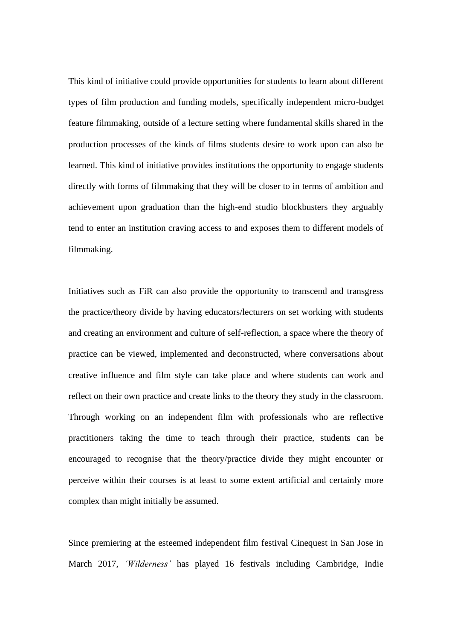This kind of initiative could provide opportunities for students to learn about different types of film production and funding models, specifically independent micro-budget feature filmmaking, outside of a lecture setting where fundamental skills shared in the production processes of the kinds of films students desire to work upon can also be learned. This kind of initiative provides institutions the opportunity to engage students directly with forms of filmmaking that they will be closer to in terms of ambition and achievement upon graduation than the high-end studio blockbusters they arguably tend to enter an institution craving access to and exposes them to different models of filmmaking.

Initiatives such as FiR can also provide the opportunity to transcend and transgress the practice/theory divide by having educators/lecturers on set working with students and creating an environment and culture of self-reflection, a space where the theory of practice can be viewed, implemented and deconstructed, where conversations about creative influence and film style can take place and where students can work and reflect on their own practice and create links to the theory they study in the classroom. Through working on an independent film with professionals who are reflective practitioners taking the time to teach through their practice, students can be encouraged to recognise that the theory/practice divide they might encounter or perceive within their courses is at least to some extent artificial and certainly more complex than might initially be assumed.

Since premiering at the esteemed independent film festival Cinequest in San Jose in March 2017, *'Wilderness'* has played 16 festivals including Cambridge, Indie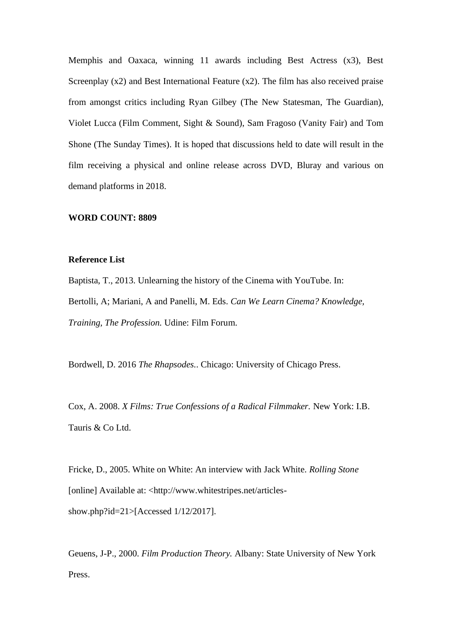Memphis and Oaxaca, winning 11 awards including Best Actress (x3), Best Screenplay (x2) and Best International Feature (x2). The film has also received praise from amongst critics including Ryan Gilbey (The New Statesman, The Guardian), Violet Lucca (Film Comment, Sight & Sound), Sam Fragoso (Vanity Fair) and Tom Shone (The Sunday Times). It is hoped that discussions held to date will result in the film receiving a physical and online release across DVD, Bluray and various on demand platforms in 2018.

## **WORD COUNT: 8809**

#### **Reference List**

Baptista, T., 2013. Unlearning the history of the Cinema with YouTube. In: Bertolli, A; Mariani, A and Panelli, M. Eds. *Can We Learn Cinema? Knowledge, Training, The Profession.* Udine: Film Forum.

Bordwell, D. 2016 *The Rhapsodes.*. Chicago: University of Chicago Press.

Cox, A. 2008. *X Films: True Confessions of a Radical Filmmaker.* New York: I.B. Tauris & Co Ltd.

Fricke, D., 2005. White on White: An interview with Jack White. *Rolling Stone*  [online] Available at: <http://www.whitestripes.net/articlesshow.php?id=21>[Accessed 1/12/2017].

Geuens, J-P., 2000. *Film Production Theory.* Albany: State University of New York Press.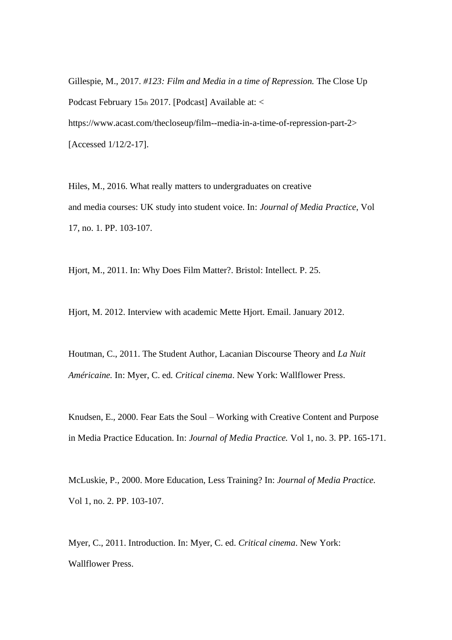Gillespie, M., 2017. *#123: Film and Media in a time of Repression*. The Close Up Podcast February 15th 2017. [Podcast] Available at: < https://www.acast.com/thecloseup/film--media-in-a-time-of-repression-part-2> [Accessed 1/12/2-17].

Hiles, M., 2016. What really matters to undergraduates on creative and media courses: UK study into student voice. In: *Journal of Media Practice*, Vol 17, no. 1. PP. 103-107.

Hjort, M., 2011. In: Why Does Film Matter?. Bristol: Intellect. P. 25.

Hjort, M. 2012. Interview with academic Mette Hjort. Email. January 2012.

Houtman, C., 2011. The Student Author, Lacanian Discourse Theory and *La Nuit Américaine.* In: Myer, C. ed*. Critical cinema*. New York: Wallflower Press.

Knudsen, E., 2000. Fear Eats the Soul – Working with Creative Content and Purpose in Media Practice Education. In: *Journal of Media Practice.* Vol 1, no. 3. PP. 165-171.

McLuskie, P., 2000. More Education, Less Training? In: *Journal of Media Practice.*  Vol 1, no. 2. PP. 103-107.

Myer, C., 2011. Introduction. In: Myer, C. ed. *Critical cinema*. New York: Wallflower Press.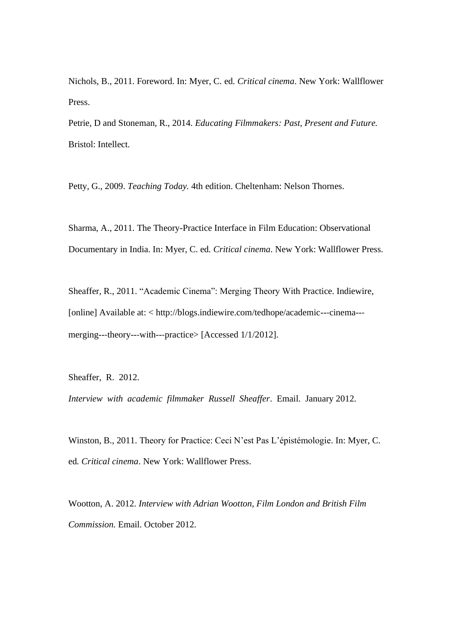Nichols, B., 2011. Foreword. In: Myer, C. ed*. Critical cinema*. New York: Wallflower Press.

Petrie, D and Stoneman, R., 2014. *Educating Filmmakers: Past, Present and Future.*  Bristol: Intellect.

Petty, G., 2009. *Teaching Today.* 4th edition. Cheltenham: Nelson Thornes.

Sharma, A., 2011. The Theory-Practice Interface in Film Education: Observational Documentary in India. In: Myer, C. ed*. Critical cinema*. New York: Wallflower Press.

Sheaffer, R., 2011. "Academic Cinema": Merging Theory With Practice. Indiewire, [online] Available at: < http://blogs.indiewire.com/tedhope/academic--‐cinema--‐ merging---theory---with---practice> [Accessed 1/1/2012].

Sheaffer, R. 2012.

*Interview with academic filmmaker Russell Sheaffer*. Email. January 2012.

Winston, B., 2011. Theory for Practice: Ceci N'est Pas L'épistémologie. In: Myer, C. ed*. Critical cinema*. New York: Wallflower Press.

Wootton, A. 2012. *Interview with Adrian Wootton, Film London and British Film Commission.* Email. October 2012.